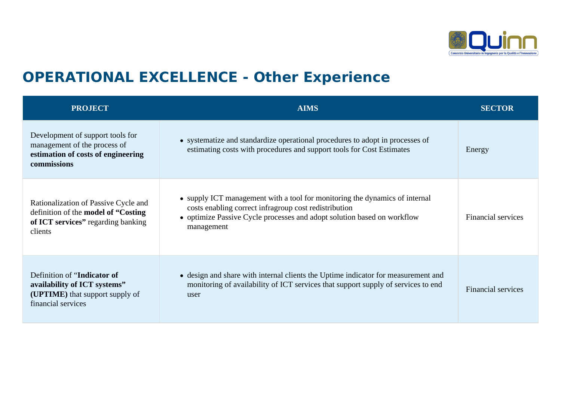

## **OPERATIONAL EXCELLENCE - Other Experience**

| <b>PROJECT</b>                                                                                                                        | <b>AIMS</b>                                                                                                                                                                                                                   | <b>SECTOR</b>             |
|---------------------------------------------------------------------------------------------------------------------------------------|-------------------------------------------------------------------------------------------------------------------------------------------------------------------------------------------------------------------------------|---------------------------|
| Development of support tools for<br>management of the process of<br>estimation of costs of engineering<br>commissions                 | • systematize and standardize operational procedures to adopt in processes of<br>estimating costs with procedures and support tools for Cost Estimates                                                                        | Energy                    |
| Rationalization of Passive Cycle and<br>definition of the <b>model of "Costing</b> "<br>of ICT services" regarding banking<br>clients | • supply ICT management with a tool for monitoring the dynamics of internal<br>costs enabling correct infragroup cost redistribution<br>• optimize Passive Cycle processes and adopt solution based on workflow<br>management | <b>Financial services</b> |
| Definition of "Indicator of<br>availability of ICT systems"<br>(UPTIME) that support supply of<br>financial services                  | • design and share with internal clients the Uptime indicator for measurement and<br>monitoring of availability of ICT services that support supply of services to end<br>user                                                | <b>Financial services</b> |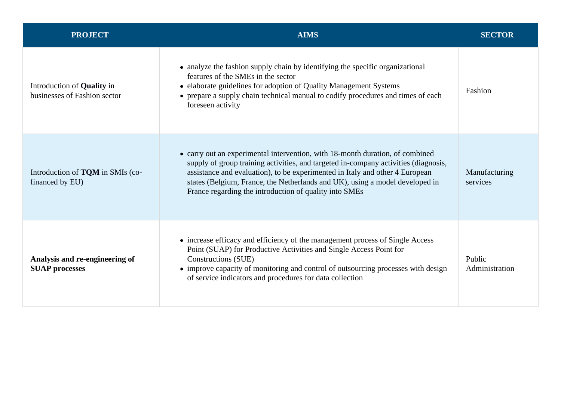| <b>PROJECT</b>                                                    | <b>AIMS</b>                                                                                                                                                                                                                                                                                                                                                                                    | SECTOR                    |
|-------------------------------------------------------------------|------------------------------------------------------------------------------------------------------------------------------------------------------------------------------------------------------------------------------------------------------------------------------------------------------------------------------------------------------------------------------------------------|---------------------------|
| Introduction of <b>Quality</b> in<br>businesses of Fashion sector | • analyze the fashion supply chain by identifying the specific organizational<br>features of the SMEs in the sector<br>• elaborate guidelines for adoption of Quality Management Systems<br>• prepare a supply chain technical manual to codify procedures and times of each<br>foreseen activity                                                                                              | Fashion                   |
| Introduction of <b>TQM</b> in SMIs (co-<br>financed by EU)        | • carry out an experimental intervention, with 18-month duration, of combined<br>supply of group training activities, and targeted in-company activities (diagnosis,<br>assistance and evaluation), to be experimented in Italy and other 4 European<br>states (Belgium, France, the Netherlands and UK), using a model developed in<br>France regarding the introduction of quality into SMEs | Manufacturing<br>services |
| Analysis and re-engineering of<br><b>SUAP processes</b>           | • increase efficacy and efficiency of the management process of Single Access<br>Point (SUAP) for Productive Activities and Single Access Point for<br>Constructions (SUE)<br>• improve capacity of monitoring and control of outsourcing processes with design<br>of service indicators and procedures for data collection                                                                    | Public<br>Administration  |